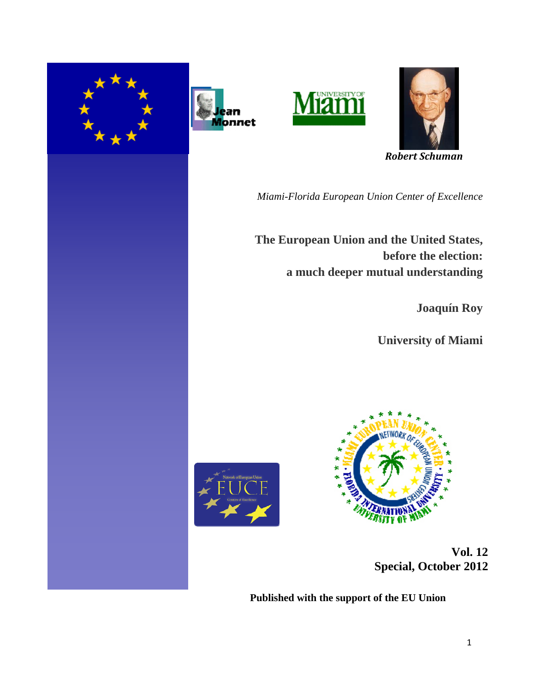







 *Robert Schuman* 

*Miami-Florida European Union Center of Excellence*

**The European Union and the United States, before the election: a much deeper mutual understanding**

**Joaquín Roy**

**University of Miami**





 **Vol. 12 Special, October 2012** 

**Published with the support of the EU Union**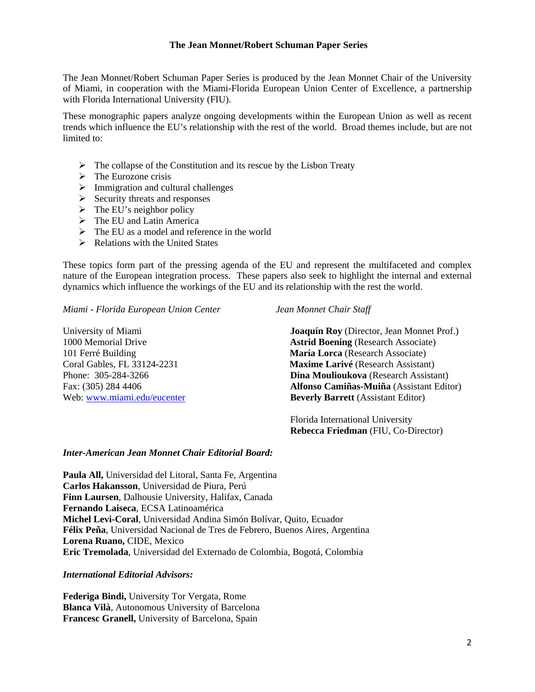#### **The Jean Monnet/Robert Schuman Paper Series**

The Jean Monnet/Robert Schuman Paper Series is produced by the Jean Monnet Chair of the University of Miami, in cooperation with the Miami-Florida European Union Center of Excellence, a partnership with Florida International University (FIU).

These monographic papers analyze ongoing developments within the European Union as well as recent trends which influence the EU's relationship with the rest of the world. Broad themes include, but are not limited to:

- $\triangleright$  The collapse of the Constitution and its rescue by the Lisbon Treaty
- $\triangleright$  The Eurozone crisis
- $\triangleright$  Immigration and cultural challenges
- $\triangleright$  Security threats and responses
- $\triangleright$  The EU's neighbor policy
- $\triangleright$  The EU and Latin America
- $\triangleright$  The EU as a model and reference in the world
- $\triangleright$  Relations with the United States

These topics form part of the pressing agenda of the EU and represent the multifaceted and complex nature of the European integration process. These papers also seek to highlight the internal and external dynamics which influence the workings of the EU and its relationship with the rest the world.

*Miami - Florida European Union Center Jean Monnet Chair Staff* 

University of Miami **Joaquín Roy** (Director, Jean Monnet Prof.) 1000 Memorial Drive **Astrid Boening** (Research Associate) 101 Ferré Building **María Lorca** (Research Associate) Coral Gables, FL 33124-2231 **Maxime Larivé** (Research Assistant) Phone: 305-284-3266 **Dina Moulioukova** (Research Assistant) Fax: (305) 284 4406 **Alfonso Camiñas-Muiña** (Assistant Editor) Web: [www.miami.edu/eucenter](http://www.miami.edu/eucenter) **Beverly Barrett** (Assistant Editor)

> Florida International University  **Rebecca Friedman** (FIU, Co-Director)

#### *Inter-American Jean Monnet Chair Editorial Board:*

**Paula All,** Universidad del Litoral, Santa Fe, Argentina **Carlos Hakansson**, Universidad de Piura, Perú **Finn Laursen**, Dalhousie University, Halifax, Canada **Fernando Laiseca**, ECSA Latinoamérica **Michel Levi-Coral**, Universidad Andina Simón Bolívar, Quito, Ecuador **Félix Peña**, Universidad Nacional de Tres de Febrero, Buenos Aires, Argentina **Lorena Ruano,** CIDE, Mexico **Eric Tremolada**, Universidad del Externado de Colombia, Bogotá, Colombia

*International Editorial Advisors:* 

**Federiga Bindi,** University Tor Vergata, Rome **Blanca Vilà**, Autonomous University of Barcelona **Francesc Granell,** University of Barcelona, Spain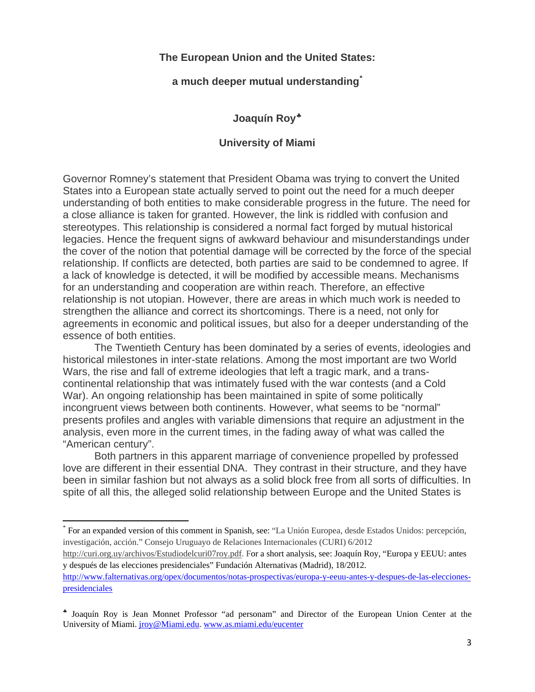## **The European Union and the United States:**

### **a much deeper mutual understanding[\\*](#page-2-0)**

# **Joaquín Roy**

## **University of Miami**

Governor Romney's statement that President Obama was trying to convert the United States into a European state actually served to point out the need for a much deeper understanding of both entities to make considerable progress in the future. The need for a close alliance is taken for granted. However, the link is riddled with confusion and stereotypes. This relationship is considered a normal fact forged by mutual historical legacies. Hence the frequent signs of awkward behaviour and misunderstandings under the cover of the notion that potential damage will be corrected by the force of the special relationship. If conflicts are detected, both parties are said to be condemned to agree. If a lack of knowledge is detected, it will be modified by accessible means. Mechanisms for an understanding and cooperation are within reach. Therefore, an effective relationship is not utopian. However, there are areas in which much work is needed to strengthen the alliance and correct its shortcomings. There is a need, not only for agreements in economic and political issues, but also for a deeper understanding of the essence of both entities.

 The Twentieth Century has been dominated by a series of events, ideologies and historical milestones in inter-state relations. Among the most important are two World Wars, the rise and fall of extreme ideologies that left a tragic mark, and a transcontinental relationship that was intimately fused with the war contests (and a Cold War). An ongoing relationship has been maintained in spite of some politically incongruent views between both continents. However, what seems to be "normal" presents profiles and angles with variable dimensions that require an adjustment in the analysis, even more in the current times, in the fading away of what was called the "American century".

 Both partners in this apparent marriage of convenience propelled by professed love are different in their essential DNA. They contrast in their structure, and they have been in similar fashion but not always as a solid block free from all sorts of difficulties. In spite of all this, the alleged solid relationship between Europe and the United States is

[http://curi.org.uy/archivos/Estudiodelcuri07roy.pdf.](http://curi.org.uy/archivos/Estudiodelcuri07roy.pdf) For a short analysis, see: Joaquín Roy, "Europa y EEUU: antes y después de las elecciones presidenciales" Fundación Alternativas (Madrid), 18/2012.

<span id="page-2-0"></span><sup>\*</sup> For an expanded version of this comment in Spanish, see: "La Unión Europea, desde Estados Unidos: percepción, investigación, acción." Consejo Uruguayo de Relaciones Internacionales (CURI) 6/2012

[http://www.falternativas.org/opex/documentos/notas-prospectivas/europa-y-eeuu-antes-y-despues-de-las-elecciones](http://www.falternativas.org/opex/documentos/notas-prospectivas/europa-y-eeuu-antes-y-despues-de-las-elecciones-presidenciales)[presidenciales](http://www.falternativas.org/opex/documentos/notas-prospectivas/europa-y-eeuu-antes-y-despues-de-las-elecciones-presidenciales)

<span id="page-2-1"></span>Joaquín Roy is Jean Monnet Professor "ad personam" and Director of the European Union Center at the University of Miami. [jroy@Miami.edu](mailto:jroy@Miami.edu). [www.as.miami.edu/eucenter](http://www.as.miami.edu/eucenter)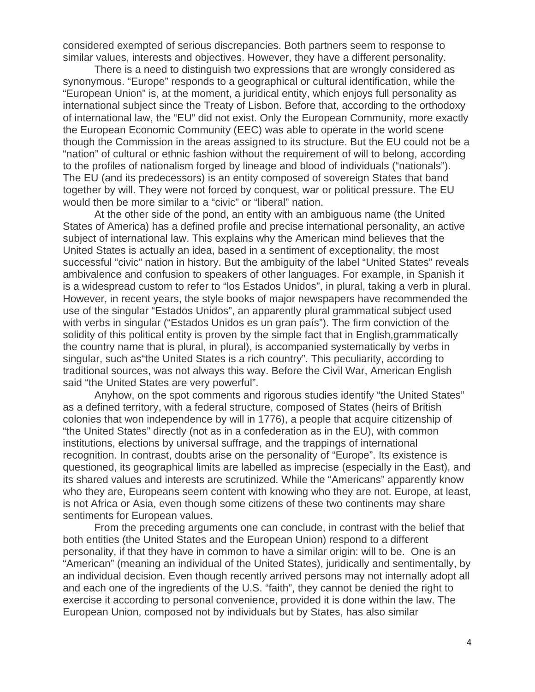considered exempted of serious discrepancies. Both partners seem to response to similar values, interests and objectives. However, they have a different personality.

 There is a need to distinguish two expressions that are wrongly considered as synonymous. "Europe" responds to a geographical or cultural identification, while the "European Union" is, at the moment, a juridical entity, which enjoys full personality as international subject since the Treaty of Lisbon. Before that, according to the orthodoxy of international law, the "EU" did not exist. Only the European Community, more exactly the European Economic Community (EEC) was able to operate in the world scene though the Commission in the areas assigned to its structure. But the EU could not be a "nation" of cultural or ethnic fashion without the requirement of will to belong, according to the profiles of nationalism forged by lineage and blood of individuals ("nationals"). The EU (and its predecessors) is an entity composed of sovereign States that band together by will. They were not forced by conquest, war or political pressure. The EU would then be more similar to a "civic" or "liberal" nation.

 At the other side of the pond, an entity with an ambiguous name (the United States of America) has a defined profile and precise international personality, an active subject of international law. This explains why the American mind believes that the United States is actually an idea, based in a sentiment of exceptionality, the most successful "civic" nation in history. But the ambiguity of the label "United States" reveals ambivalence and confusion to speakers of other languages. For example, in Spanish it is a widespread custom to refer to "los Estados Unidos", in plural, taking a verb in plural. However, in recent years, the style books of major newspapers have recommended the use of the singular "Estados Unidos", an apparently plural grammatical subject used with verbs in singular ("Estados Unidos es un gran país"). The firm conviction of the solidity of this political entity is proven by the simple fact that in English,grammatically the country name that is plural, in plural), is accompanied systematically by verbs in singular, such as"the United States is a rich country". This peculiarity, according to traditional sources, was not always this way. Before the Civil War, American English said "the United States are very powerful".

Anyhow, on the spot comments and rigorous studies identify "the United States" as a defined territory, with a federal structure, composed of States (heirs of British colonies that won independence by will in 1776), a people that acquire citizenship of "the United States" directly (not as in a confederation as in the EU), with common institutions, elections by universal suffrage, and the trappings of international recognition. In contrast, doubts arise on the personality of "Europe". Its existence is questioned, its geographical limits are labelled as imprecise (especially in the East), and its shared values and interests are scrutinized. While the "Americans" apparently know who they are, Europeans seem content with knowing who they are not. Europe, at least, is not Africa or Asia, even though some citizens of these two continents may share sentiments for European values.

From the preceding arguments one can conclude, in contrast with the belief that both entities (the United States and the European Union) respond to a different personality, if that they have in common to have a similar origin: will to be. One is an "American" (meaning an individual of the United States), juridically and sentimentally, by an individual decision. Even though recently arrived persons may not internally adopt all and each one of the ingredients of the U.S. "faith", they cannot be denied the right to exercise it according to personal convenience, provided it is done within the law. The European Union, composed not by individuals but by States, has also similar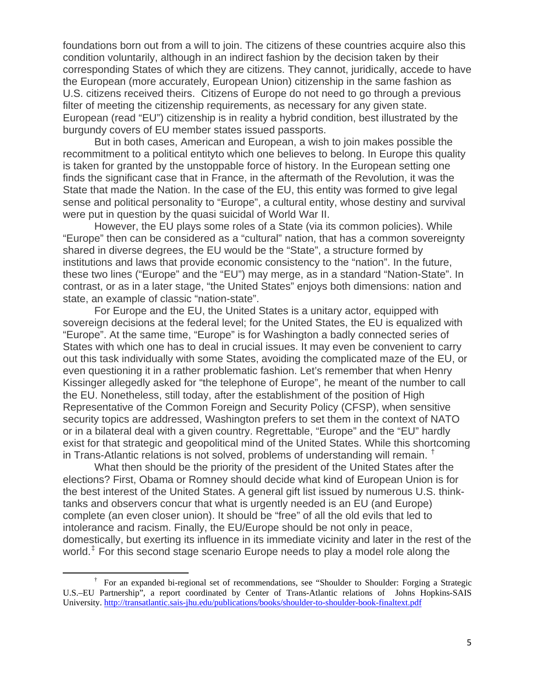foundations born out from a will to join. The citizens of these countries acquire also this condition voluntarily, although in an indirect fashion by the decision taken by their corresponding States of which they are citizens. They cannot, juridically, accede to have the European (more accurately, European Union) citizenship in the same fashion as U.S. citizens received theirs. Citizens of Europe do not need to go through a previous filter of meeting the citizenship requirements, as necessary for any given state. European (read "EU") citizenship is in reality a hybrid condition, best illustrated by the burgundy covers of EU member states issued passports.

But in both cases, American and European, a wish to join makes possible the recommitment to a political entityto which one believes to belong. In Europe this quality is taken for granted by the unstoppable force of history. In the European setting one finds the significant case that in France, in the aftermath of the Revolution, it was the State that made the Nation. In the case of the EU, this entity was formed to give legal sense and political personality to "Europe", a cultural entity, whose destiny and survival were put in question by the quasi suicidal of World War II.

However, the EU plays some roles of a State (via its common policies). While "Europe" then can be considered as a "cultural" nation, that has a common sovereignty shared in diverse degrees, the EU would be the "State", a structure formed by institutions and laws that provide economic consistency to the "nation". In the future, these two lines ("Europe" and the "EU") may merge, as in a standard "Nation-State". In contrast, or as in a later stage, "the United States" enjoys both dimensions: nation and state, an example of classic "nation-state".

For Europe and the EU, the United States is a unitary actor, equipped with sovereign decisions at the federal level; for the United States, the EU is equalized with "Europe". At the same time, "Europe" is for Washington a badly connected series of States with which one has to deal in crucial issues. It may even be convenient to carry out this task individually with some States, avoiding the complicated maze of the EU, or even questioning it in a rather problematic fashion. Let's remember that when Henry Kissinger allegedly asked for "the telephone of Europe", he meant of the number to call the EU. Nonetheless, still today, after the establishment of the position of High Representative of the Common Foreign and Security Policy (CFSP), when sensitive security topics are addressed, Washington prefers to set them in the context of NATO or in a bilateral deal with a given country. Regrettable, "Europe" and the "EU" hardly exist for that strategic and geopolitical mind of the United States. While this shortcoming in Trans-Atlantic relations is not solved, problems of understanding will remain. [†](#page-4-0)

What then should be the priority of the president of the United States after the elections? First, Obama or Romney should decide what kind of European Union is for the best interest of the United States. A general gift list issued by numerous U.S. thinktanks and observers concur that what is urgently needed is an EU (and Europe) complete (an even closer union). It should be "free" of all the old evils that led to intolerance and racism. Finally, the EU/Europe should be not only in peace, domestically, but exerting its influence in its immediate vicinity and later in the rest of the world. $<sup>1</sup>$  For this second stage scenario Europe needs to play a model role along the</sup>

<span id="page-4-1"></span><span id="page-4-0"></span> † For an expanded bi-regional set of recommendations, see "Shoulder to Shoulder: Forging a Strategic U.S.–EU Partnership", a report coordinated by Center of Trans-Atlantic relations of Johns Hopkins-SAIS University.<http://transatlantic.sais-jhu.edu/publications/books/shoulder-to-shoulder-book-finaltext.pdf>